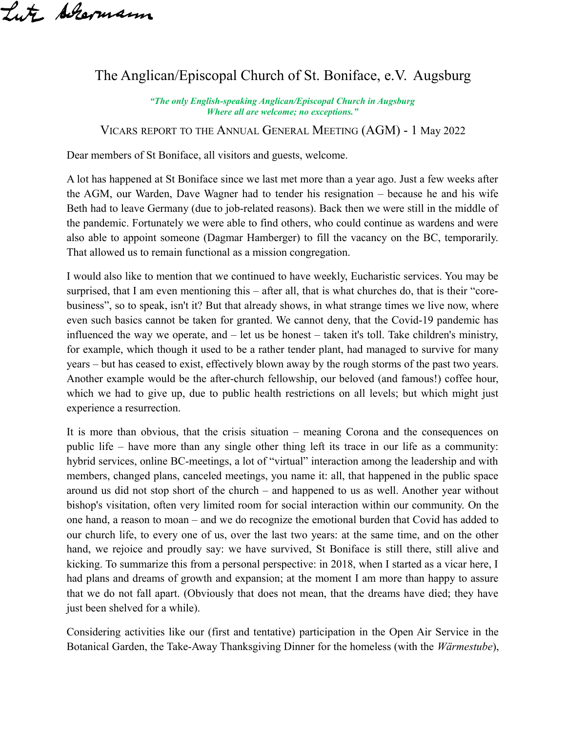Lute Achermann

## The Anglican/Episcopal Church of St. Boniface, e.V. Augsburg

*"The only English-speaking Anglican/Episcopal Church in Augsburg Where all are welcome; no exceptions."*

VICARS REPORT TO THE ANNUAL GENERAL MEETING (AGM) - 1 May 2022

Dear members of St Boniface, all visitors and guests, welcome.

A lot has happened at St Boniface since we last met more than a year ago. Just a few weeks after the AGM, our Warden, Dave Wagner had to tender his resignation – because he and his wife Beth had to leave Germany (due to job-related reasons). Back then we were still in the middle of the pandemic. Fortunately we were able to find others, who could continue as wardens and were also able to appoint someone (Dagmar Hamberger) to fill the vacancy on the BC, temporarily. That allowed us to remain functional as a mission congregation.

I would also like to mention that we continued to have weekly, Eucharistic services. You may be surprised, that I am even mentioning this – after all, that is what churches do, that is their "corebusiness", so to speak, isn't it? But that already shows, in what strange times we live now, where even such basics cannot be taken for granted. We cannot deny, that the Covid-19 pandemic has influenced the way we operate, and – let us be honest – taken it's toll. Take children's ministry, for example, which though it used to be a rather tender plant, had managed to survive for many years – but has ceased to exist, effectively blown away by the rough storms of the past two years. Another example would be the after-church fellowship, our beloved (and famous!) coffee hour, which we had to give up, due to public health restrictions on all levels; but which might just experience a resurrection.

It is more than obvious, that the crisis situation – meaning Corona and the consequences on public life – have more than any single other thing left its trace in our life as a community: hybrid services, online BC-meetings, a lot of "virtual" interaction among the leadership and with members, changed plans, canceled meetings, you name it: all, that happened in the public space around us did not stop short of the church – and happened to us as well. Another year without bishop's visitation, often very limited room for social interaction within our community. On the one hand, a reason to moan – and we do recognize the emotional burden that Covid has added to our church life, to every one of us, over the last two years: at the same time, and on the other hand, we rejoice and proudly say: we have survived, St Boniface is still there, still alive and kicking. To summarize this from a personal perspective: in 2018, when I started as a vicar here, I had plans and dreams of growth and expansion; at the moment I am more than happy to assure that we do not fall apart. (Obviously that does not mean, that the dreams have died; they have just been shelved for a while).

Considering activities like our (first and tentative) participation in the Open Air Service in the Botanical Garden, the Take-Away Thanksgiving Dinner for the homeless (with the *Wärmestube*),